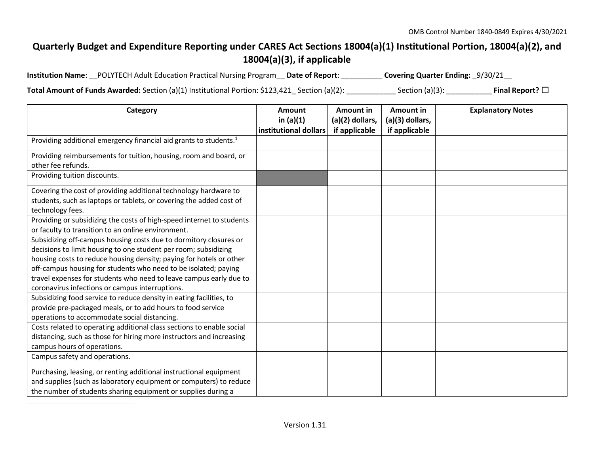## **Quarterly Budget and Expenditure Reporting under CARES Act Sections 18004(a)(1) Institutional Portion, 18004(a)(2), and 18004(a)(3), if applicable**

| Institution Name: __POLYTECH Adult Education Practical Nursing Program __ Date of Report: _ |  | Covering Quarter Ending: _9/30/21__ |
|---------------------------------------------------------------------------------------------|--|-------------------------------------|
|---------------------------------------------------------------------------------------------|--|-------------------------------------|

**Total Amount of Funds Awarded:** Section (a)(1) Institutional Portion: \$123,421\_ Section (a)(2): \_\_\_\_\_\_\_\_\_\_\_\_ Section (a)(3): \_\_\_\_\_\_\_\_\_\_\_ **Final Report?** ☐

| Category                                                                      | <b>Amount</b>         | <b>Amount in</b> | Amount in       | <b>Explanatory Notes</b> |
|-------------------------------------------------------------------------------|-----------------------|------------------|-----------------|--------------------------|
|                                                                               | in $(a)(1)$           | (a)(2) dollars,  | (a)(3) dollars, |                          |
|                                                                               | institutional dollars | if applicable    | if applicable   |                          |
| Providing additional emergency financial aid grants to students. <sup>1</sup> |                       |                  |                 |                          |
| Providing reimbursements for tuition, housing, room and board, or             |                       |                  |                 |                          |
| other fee refunds.                                                            |                       |                  |                 |                          |
| Providing tuition discounts.                                                  |                       |                  |                 |                          |
| Covering the cost of providing additional technology hardware to              |                       |                  |                 |                          |
| students, such as laptops or tablets, or covering the added cost of           |                       |                  |                 |                          |
| technology fees.                                                              |                       |                  |                 |                          |
| Providing or subsidizing the costs of high-speed internet to students         |                       |                  |                 |                          |
| or faculty to transition to an online environment.                            |                       |                  |                 |                          |
| Subsidizing off-campus housing costs due to dormitory closures or             |                       |                  |                 |                          |
| decisions to limit housing to one student per room; subsidizing               |                       |                  |                 |                          |
| housing costs to reduce housing density; paying for hotels or other           |                       |                  |                 |                          |
| off-campus housing for students who need to be isolated; paying               |                       |                  |                 |                          |
| travel expenses for students who need to leave campus early due to            |                       |                  |                 |                          |
| coronavirus infections or campus interruptions.                               |                       |                  |                 |                          |
| Subsidizing food service to reduce density in eating facilities, to           |                       |                  |                 |                          |
| provide pre-packaged meals, or to add hours to food service                   |                       |                  |                 |                          |
| operations to accommodate social distancing.                                  |                       |                  |                 |                          |
| Costs related to operating additional class sections to enable social         |                       |                  |                 |                          |
| distancing, such as those for hiring more instructors and increasing          |                       |                  |                 |                          |
| campus hours of operations.                                                   |                       |                  |                 |                          |
| Campus safety and operations.                                                 |                       |                  |                 |                          |
| Purchasing, leasing, or renting additional instructional equipment            |                       |                  |                 |                          |
| and supplies (such as laboratory equipment or computers) to reduce            |                       |                  |                 |                          |
| the number of students sharing equipment or supplies during a                 |                       |                  |                 |                          |